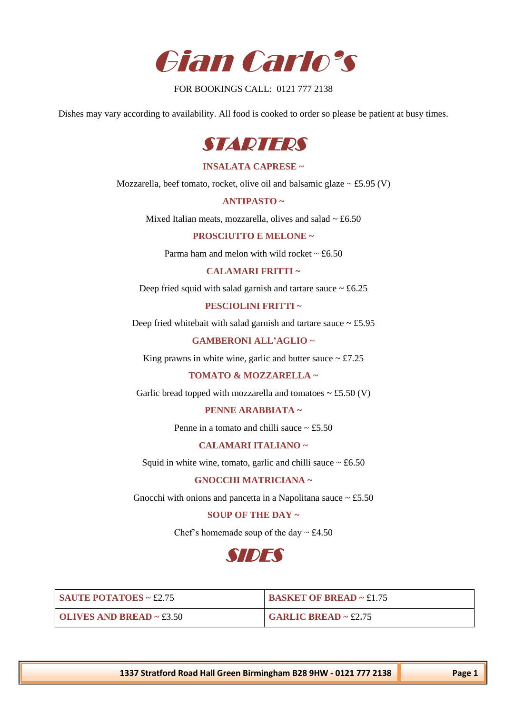

FOR BOOKINGS CALL: 0121 777 2138

Dishes may vary according to availability. All food is cooked to order so please be patient at busy times.



### **INSALATA CAPRESE ~**

Mozzarella, beef tomato, rocket, olive oil and balsamic glaze  $\sim$  £5.95 (V)

**ANTIPASTO ~** 

Mixed Italian meats, mozzarella, olives and salad  $\sim \text{\pounds}6.50$ 

**PROSCIUTTO E MELONE ~** 

Parma ham and melon with wild rocket  $\sim \text{\pounds}6.50$ 

**CALAMARI FRITTI ~** 

Deep fried squid with salad garnish and tartare sauce  $\sim \text{\pounds}6.25$ 

**PESCIOLINI FRITTI ~** 

Deep fried whitebait with salad garnish and tartare sauce  $\sim$  £5.95

#### **GAMBERONI ALL'AGLIO ~**

King prawns in white wine, garlic and butter sauce  $\sim \text{\textsterling}7.25$ 

**TOMATO & MOZZARELLA ~** 

Garlic bread topped with mozzarella and tomatoes  $\sim$  £5.50 (V)

**PENNE ARABBIATA ~** 

Penne in a tomato and chilli sauce  $\sim$  £5.50

**CALAMARI ITALIANO ~** 

Squid in white wine, tomato, garlic and chilli sauce  $\sim \text{\pounds}6.50$ 

**GNOCCHI MATRICIANA ~** 

Gnocchi with onions and pancetta in a Napolitana sauce  $\sim \text{\pounds}5.50$ 

# **SOUP OF THE DAY ~**

Chef's homemade soup of the day  $\sim \text{\pounds}4.50$ 



| $\blacksquare$ SAUTE POTATOES ~ £2.75   | <b>BASKET OF BREAD ~ £1.75</b> |
|-----------------------------------------|--------------------------------|
| $\blacksquare$ OLIVES AND BREAD ~ £3.50 | <b>GARLIC BREAD ~ £2.75</b>    |

**1337 Stratford Road Hall Green Birmingham B28 9HW - 0121 777 2138 Page 1**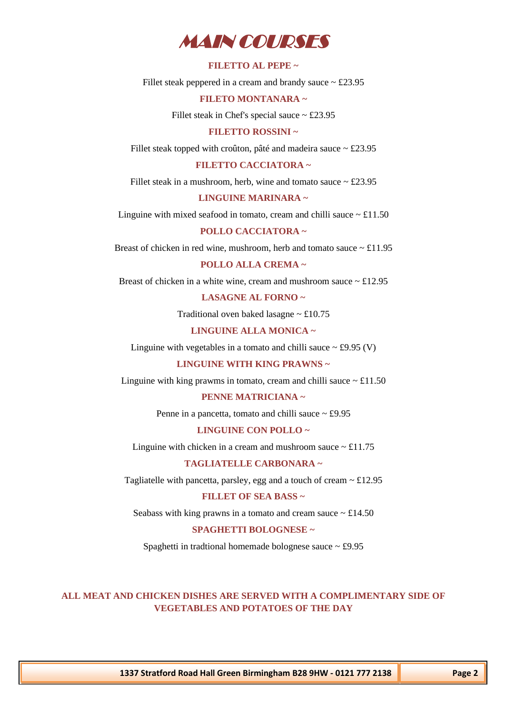

## **FILETTO AL PEPE ~**

Fillet steak peppered in a cream and brandy sauce  $\sim \text{\pounds}23.95$ 

## **FILETO MONTANARA ~**

Fillet steak in Chef's special sauce  $\sim$  £23.95

### **FILETTO ROSSINI ~**

Fillet steak topped with croûton, pâté and madeira sauce  $\sim \text{\pounds}23.95$ 

## **FILETTO CACCIATORA ~**

Fillet steak in a mushroom, herb, wine and tomato sauce  $\sim \text{\pounds}23.95$ 

## **LINGUINE MARINARA ~**

Linguine with mixed seafood in tomato, cream and chilli sauce  $\sim \pounds 11.50$ 

#### **POLLO CACCIATORA ~**

Breast of chicken in red wine, mushroom, herb and tomato sauce  $\sim \pounds 11.95$ 

# **POLLO ALLA CREMA ~**

Breast of chicken in a white wine, cream and mushroom sauce  $\sim \text{\pounds}12.95$ 

# **LASAGNE AL FORNO ~**

Traditional oven baked lasagne  $\sim \text{\pounds}10.75$ 

### **LINGUINE ALLA MONICA ~**

Linguine with vegetables in a tomato and chilli sauce  $\sim$  £9.95 (V)

#### **LINGUINE WITH KING PRAWNS ~**

Linguine with king prawms in tomato, cream and chilli sauce  $\sim \text{\pounds}11.50$ 

#### **PENNE MATRICIANA ~**

Penne in a pancetta, tomato and chilli sauce  $\sim \text{\pounds}9.95$ 

#### **LINGUINE CON POLLO ~**

Linguine with chicken in a cream and mushroom sauce  $\sim \pounds 11.75$ 

## **TAGLIATELLE CARBONARA ~**

Tagliatelle with pancetta, parsley, egg and a touch of cream  $\sim \text{\pounds}12.95$ 

# **FILLET OF SEA BASS ~**

Seabass with king prawns in a tomato and cream sauce  $\sim \text{\pounds}14.50$ 

## **SPAGHETTI BOLOGNESE ~**

Spaghetti in tradtional homemade bolognese sauce  $\sim \text{\pounds}9.95$ 

# **ALL MEAT AND CHICKEN DISHES ARE SERVED WITH A COMPLIMENTARY SIDE OF VEGETABLES AND POTATOES OF THE DAY**